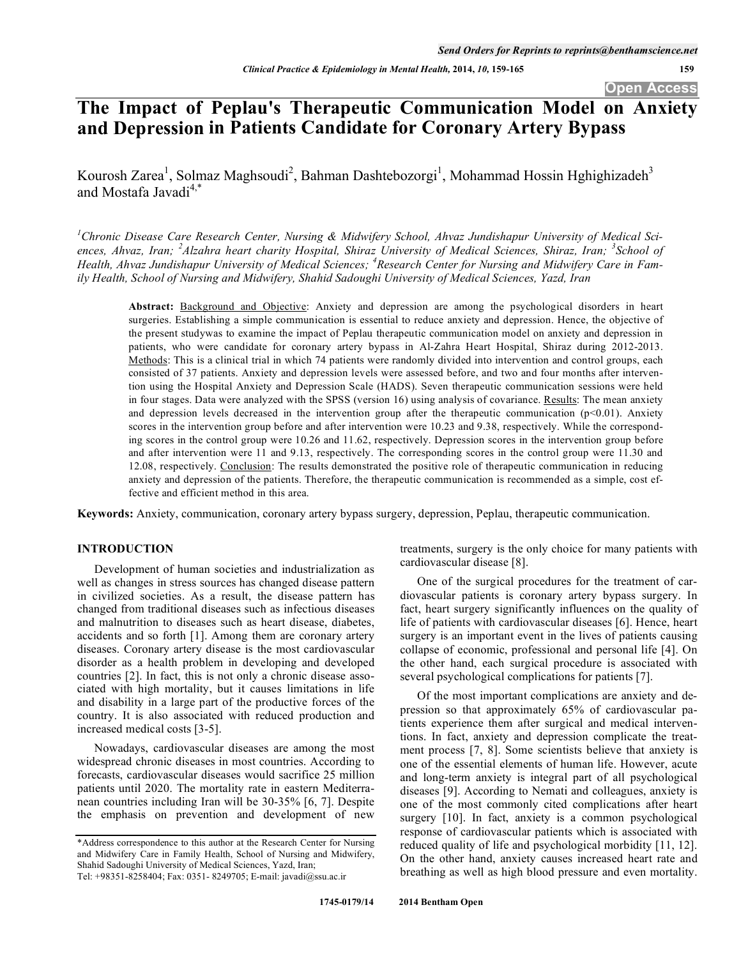# **The Impact of Peplau's Therapeutic Communication Model on Anxiety and Depression in Patients Candidate for Coronary Artery Bypass**

Kourosh Zarea<sup>1</sup>, Solmaz Maghsoudi<sup>2</sup>, Bahman Dashtebozorgi<sup>1</sup>, Mohammad Hossin Hghighizadeh<sup>3</sup> and Mostafa Javadi<sup>4,\*</sup>

<sup>1</sup> Chronic Disease Care Research Center, Nursing & Midwifery School, Ahvaz Jundishapur University of Medical Sci*ences, Ahvaz, Iran; <sup>2</sup> Alzahra heart charity Hospital, Shiraz University of Medical Sciences, Shiraz, Iran; <sup>3</sup> School of Health, Ahvaz Jundishapur University of Medical Sciences; <sup>4</sup> Research Center for Nursing and Midwifery Care in Family Health, School of Nursing and Midwifery, Shahid Sadoughi University of Medical Sciences, Yazd, Iran* 

**Abstract:** Background and Objective: Anxiety and depression are among the psychological disorders in heart surgeries. Establishing a simple communication is essential to reduce anxiety and depression. Hence, the objective of the present studywas to examine the impact of Peplau therapeutic communication model on anxiety and depression in patients, who were candidate for coronary artery bypass in Al-Zahra Heart Hospital, Shiraz during 2012-2013. Methods: This is a clinical trial in which 74 patients were randomly divided into intervention and control groups, each consisted of 37 patients. Anxiety and depression levels were assessed before, and two and four months after intervention using the Hospital Anxiety and Depression Scale (HADS). Seven therapeutic communication sessions were held in four stages. Data were analyzed with the SPSS (version 16) using analysis of covariance. Results: The mean anxiety and depression levels decreased in the intervention group after the therapeutic communication (p<0.01). Anxiety scores in the intervention group before and after intervention were 10.23 and 9.38, respectively. While the corresponding scores in the control group were 10.26 and 11.62, respectively. Depression scores in the intervention group before and after intervention were 11 and 9.13, respectively. The corresponding scores in the control group were 11.30 and 12.08, respectively. Conclusion: The results demonstrated the positive role of therapeutic communication in reducing anxiety and depression of the patients. Therefore, the therapeutic communication is recommended as a simple, cost effective and efficient method in this area.

**Keywords:** Anxiety, communication, coronary artery bypass surgery, depression, Peplau, therapeutic communication.

# **INTRODUCTION**

Development of human societies and industrialization as well as changes in stress sources has changed disease pattern in civilized societies. As a result, the disease pattern has changed from traditional diseases such as infectious diseases and malnutrition to diseases such as heart disease, diabetes, accidents and so forth [1]. Among them are coronary artery diseases. Coronary artery disease is the most cardiovascular disorder as a health problem in developing and developed countries [2]. In fact, this is not only a chronic disease associated with high mortality, but it causes limitations in life and disability in a large part of the productive forces of the country. It is also associated with reduced production and increased medical costs [3-5].

Nowadays, cardiovascular diseases are among the most widespread chronic diseases in most countries. According to forecasts, cardiovascular diseases would sacrifice 25 million patients until 2020. The mortality rate in eastern Mediterranean countries including Iran will be 30-35% [6, 7]. Despite the emphasis on prevention and development of new

treatments, surgery is the only choice for many patients with cardiovascular disease [8].

One of the surgical procedures for the treatment of cardiovascular patients is coronary artery bypass surgery. In fact, heart surgery significantly influences on the quality of life of patients with cardiovascular diseases [6]. Hence, heart surgery is an important event in the lives of patients causing collapse of economic, professional and personal life [4]. On the other hand, each surgical procedure is associated with several psychological complications for patients [7].

Of the most important complications are anxiety and depression so that approximately 65% of cardiovascular patients experience them after surgical and medical interventions. In fact, anxiety and depression complicate the treatment process [7, 8]. Some scientists believe that anxiety is one of the essential elements of human life. However, acute and long-term anxiety is integral part of all psychological diseases [9]. According to Nemati and colleagues, anxiety is one of the most commonly cited complications after heart surgery [10]. In fact, anxiety is a common psychological response of cardiovascular patients which is associated with reduced quality of life and psychological morbidity [11, 12]. On the other hand, anxiety causes increased heart rate and breathing as well as high blood pressure and even mortality.

<sup>\*</sup>Address correspondence to this author at the Research Center for Nursing and Midwifery Care in Family Health, School of Nursing and Midwifery, Shahid Sadoughi University of Medical Sciences, Yazd, Iran; Tel: +98351-8258404; Fax: 0351- 8249705; E-mail: javadi@ssu.ac.ir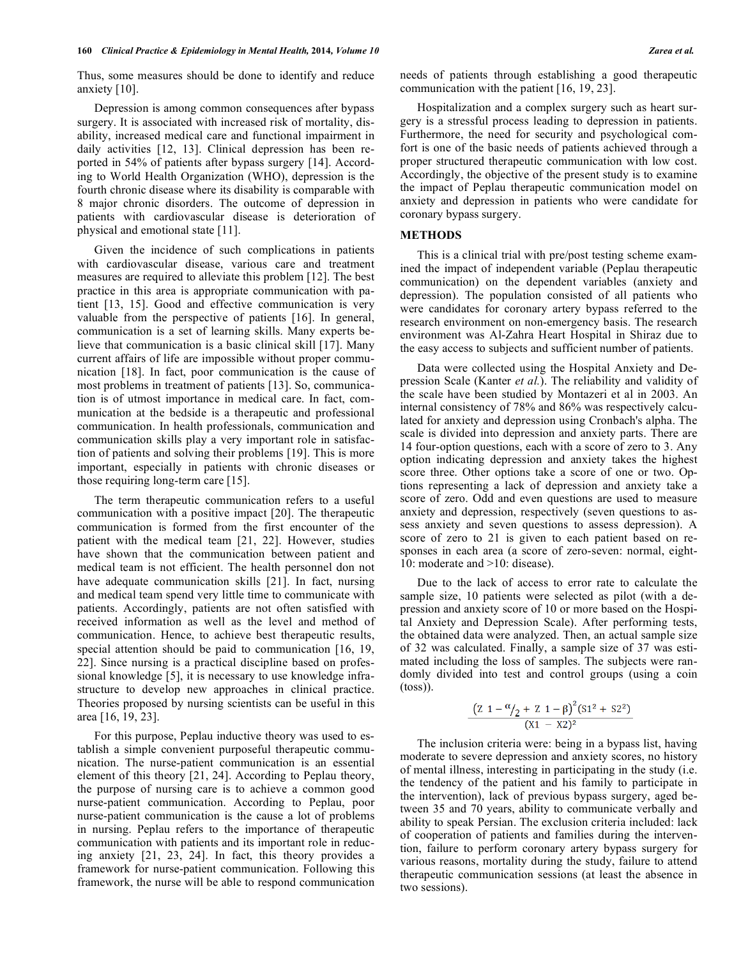Thus, some measures should be done to identify and reduce anxiety [10].

Depression is among common consequences after bypass surgery. It is associated with increased risk of mortality, disability, increased medical care and functional impairment in daily activities [12, 13]. Clinical depression has been reported in 54% of patients after bypass surgery [14]. According to World Health Organization (WHO), depression is the fourth chronic disease where its disability is comparable with 8 major chronic disorders. The outcome of depression in patients with cardiovascular disease is deterioration of physical and emotional state [11].

Given the incidence of such complications in patients with cardiovascular disease, various care and treatment measures are required to alleviate this problem [12]. The best practice in this area is appropriate communication with patient [13, 15]. Good and effective communication is very valuable from the perspective of patients [16]. In general, communication is a set of learning skills. Many experts believe that communication is a basic clinical skill [17]. Many current affairs of life are impossible without proper communication [18]. In fact, poor communication is the cause of most problems in treatment of patients [13]. So, communication is of utmost importance in medical care. In fact, communication at the bedside is a therapeutic and professional communication. In health professionals, communication and communication skills play a very important role in satisfaction of patients and solving their problems [19]. This is more important, especially in patients with chronic diseases or those requiring long-term care [15].

The term therapeutic communication refers to a useful communication with a positive impact [20]. The therapeutic communication is formed from the first encounter of the patient with the medical team [21, 22]. However, studies have shown that the communication between patient and medical team is not efficient. The health personnel don not have adequate communication skills [21]. In fact, nursing and medical team spend very little time to communicate with patients. Accordingly, patients are not often satisfied with received information as well as the level and method of communication. Hence, to achieve best therapeutic results, special attention should be paid to communication [16, 19, 22]. Since nursing is a practical discipline based on professional knowledge [5], it is necessary to use knowledge infrastructure to develop new approaches in clinical practice. Theories proposed by nursing scientists can be useful in this area [16, 19, 23].

For this purpose, Peplau inductive theory was used to establish a simple convenient purposeful therapeutic communication. The nurse-patient communication is an essential element of this theory [21, 24]. According to Peplau theory, the purpose of nursing care is to achieve a common good nurse-patient communication. According to Peplau, poor nurse-patient communication is the cause a lot of problems in nursing. Peplau refers to the importance of therapeutic communication with patients and its important role in reducing anxiety [21, 23, 24]. In fact, this theory provides a framework for nurse-patient communication. Following this framework, the nurse will be able to respond communication needs of patients through establishing a good therapeutic communication with the patient [16, 19, 23].

Hospitalization and a complex surgery such as heart surgery is a stressful process leading to depression in patients. Furthermore, the need for security and psychological comfort is one of the basic needs of patients achieved through a proper structured therapeutic communication with low cost. Accordingly, the objective of the present study is to examine the impact of Peplau therapeutic communication model on anxiety and depression in patients who were candidate for coronary bypass surgery.

# **METHODS**

This is a clinical trial with pre/post testing scheme examined the impact of independent variable (Peplau therapeutic communication) on the dependent variables (anxiety and depression). The population consisted of all patients who were candidates for coronary artery bypass referred to the research environment on non-emergency basis. The research environment was Al-Zahra Heart Hospital in Shiraz due to the easy access to subjects and sufficient number of patients.

Data were collected using the Hospital Anxiety and Depression Scale (Kanter *et al.*). The reliability and validity of the scale have been studied by Montazeri et al in 2003. An internal consistency of 78% and 86% was respectively calculated for anxiety and depression using Cronbach's alpha. The scale is divided into depression and anxiety parts. There are 14 four-option questions, each with a score of zero to 3. Any option indicating depression and anxiety takes the highest score three. Other options take a score of one or two. Options representing a lack of depression and anxiety take a score of zero. Odd and even questions are used to measure anxiety and depression, respectively (seven questions to assess anxiety and seven questions to assess depression). A score of zero to 21 is given to each patient based on responses in each area (a score of zero-seven: normal, eight-10: moderate and >10: disease).

Due to the lack of access to error rate to calculate the sample size, 10 patients were selected as pilot (with a depression and anxiety score of 10 or more based on the Hospital Anxiety and Depression Scale). After performing tests, the obtained data were analyzed. Then, an actual sample size of 32 was calculated. Finally, a sample size of 37 was estimated including the loss of samples. The subjects were randomly divided into test and control groups (using a coin (toss)).

$$
\frac{(Z \ 1 - \frac{\alpha}{2} + Z \ 1 - \beta)^2 (S1^2 + S2^2)}{(X1 - X2)^2}
$$

The inclusion criteria were: being in a bypass list, having moderate to severe depression and anxiety scores, no history of mental illness, interesting in participating in the study (i.e. the tendency of the patient and his family to participate in the intervention), lack of previous bypass surgery, aged between 35 and 70 years, ability to communicate verbally and ability to speak Persian. The exclusion criteria included: lack of cooperation of patients and families during the intervention, failure to perform coronary artery bypass surgery for various reasons, mortality during the study, failure to attend therapeutic communication sessions (at least the absence in two sessions).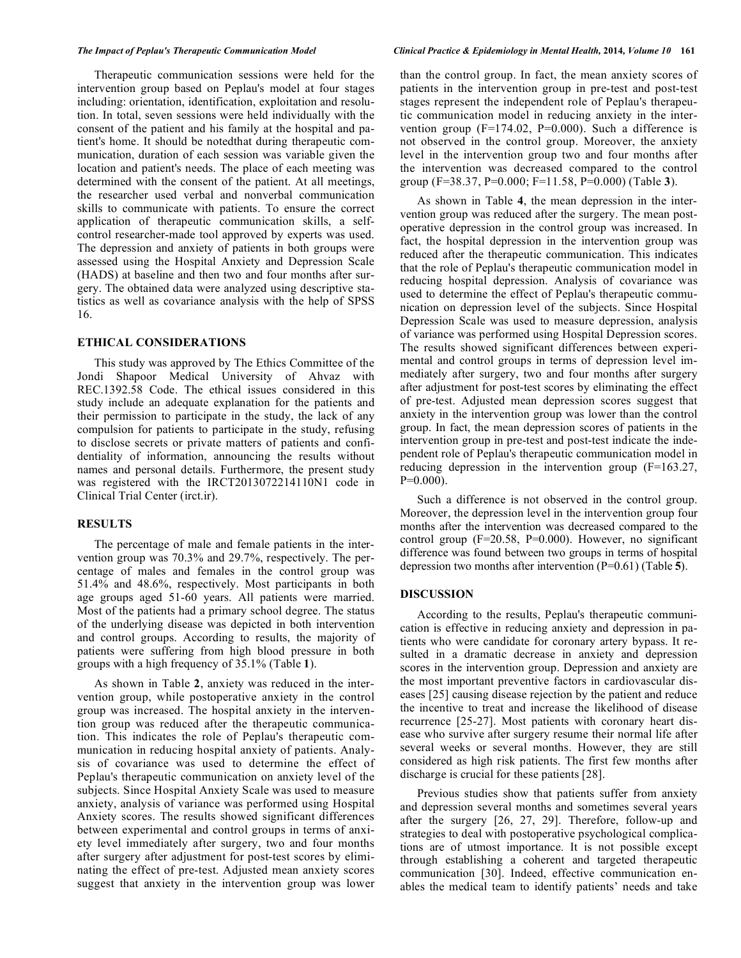Therapeutic communication sessions were held for the intervention group based on Peplau's model at four stages including: orientation, identification, exploitation and resolution. In total, seven sessions were held individually with the consent of the patient and his family at the hospital and patient's home. It should be notedthat during therapeutic communication, duration of each session was variable given the location and patient's needs. The place of each meeting was determined with the consent of the patient. At all meetings, the researcher used verbal and nonverbal communication skills to communicate with patients. To ensure the correct application of therapeutic communication skills, a selfcontrol researcher-made tool approved by experts was used. The depression and anxiety of patients in both groups were assessed using the Hospital Anxiety and Depression Scale (HADS) at baseline and then two and four months after surgery. The obtained data were analyzed using descriptive statistics as well as covariance analysis with the help of SPSS 16.

# **ETHICAL CONSIDERATIONS**

This study was approved by The Ethics Committee of the Jondi Shapoor Medical University of Ahvaz with REC.1392.58 Code. The ethical issues considered in this study include an adequate explanation for the patients and their permission to participate in the study, the lack of any compulsion for patients to participate in the study, refusing to disclose secrets or private matters of patients and confidentiality of information, announcing the results without names and personal details. Furthermore, the present study was registered with the IRCT2013072214110N1 code in Clinical Trial Center (irct.ir).

## **RESULTS**

The percentage of male and female patients in the intervention group was 70.3% and 29.7%, respectively. The percentage of males and females in the control group was 51.4% and 48.6%, respectively. Most participants in both age groups aged 51-60 years. All patients were married. Most of the patients had a primary school degree. The status of the underlying disease was depicted in both intervention and control groups. According to results, the majority of patients were suffering from high blood pressure in both groups with a high frequency of 35.1% (Table **1**).

As shown in Table **2**, anxiety was reduced in the intervention group, while postoperative anxiety in the control group was increased. The hospital anxiety in the intervention group was reduced after the therapeutic communication. This indicates the role of Peplau's therapeutic communication in reducing hospital anxiety of patients. Analysis of covariance was used to determine the effect of Peplau's therapeutic communication on anxiety level of the subjects. Since Hospital Anxiety Scale was used to measure anxiety, analysis of variance was performed using Hospital Anxiety scores. The results showed significant differences between experimental and control groups in terms of anxiety level immediately after surgery, two and four months after surgery after adjustment for post-test scores by eliminating the effect of pre-test. Adjusted mean anxiety scores suggest that anxiety in the intervention group was lower

than the control group. In fact, the mean anxiety scores of patients in the intervention group in pre-test and post-test stages represent the independent role of Peplau's therapeutic communication model in reducing anxiety in the intervention group  $(F=174.02, P=0.000)$ . Such a difference is not observed in the control group. Moreover, the anxiety level in the intervention group two and four months after the intervention was decreased compared to the control group (F=38.37, P=0.000; F=11.58, P=0.000) (Table **3**).

As shown in Table **4**, the mean depression in the intervention group was reduced after the surgery. The mean postoperative depression in the control group was increased. In fact, the hospital depression in the intervention group was reduced after the therapeutic communication. This indicates that the role of Peplau's therapeutic communication model in reducing hospital depression. Analysis of covariance was used to determine the effect of Peplau's therapeutic communication on depression level of the subjects. Since Hospital Depression Scale was used to measure depression, analysis of variance was performed using Hospital Depression scores. The results showed significant differences between experimental and control groups in terms of depression level immediately after surgery, two and four months after surgery after adjustment for post-test scores by eliminating the effect of pre-test. Adjusted mean depression scores suggest that anxiety in the intervention group was lower than the control group. In fact, the mean depression scores of patients in the intervention group in pre-test and post-test indicate the independent role of Peplau's therapeutic communication model in reducing depression in the intervention group (F=163.27,  $P=0.000$ ).

Such a difference is not observed in the control group. Moreover, the depression level in the intervention group four months after the intervention was decreased compared to the control group (F=20.58, P=0.000). However, no significant difference was found between two groups in terms of hospital depression two months after intervention (P=0.61) (Table **5**).

#### **DISCUSSION**

According to the results, Peplau's therapeutic communication is effective in reducing anxiety and depression in patients who were candidate for coronary artery bypass. It resulted in a dramatic decrease in anxiety and depression scores in the intervention group. Depression and anxiety are the most important preventive factors in cardiovascular diseases [25] causing disease rejection by the patient and reduce the incentive to treat and increase the likelihood of disease recurrence [25-27]. Most patients with coronary heart disease who survive after surgery resume their normal life after several weeks or several months. However, they are still considered as high risk patients. The first few months after discharge is crucial for these patients [28].

Previous studies show that patients suffer from anxiety and depression several months and sometimes several years after the surgery [26, 27, 29]. Therefore, follow-up and strategies to deal with postoperative psychological complications are of utmost importance. It is not possible except through establishing a coherent and targeted therapeutic communication [30]. Indeed, effective communication enables the medical team to identify patients' needs and take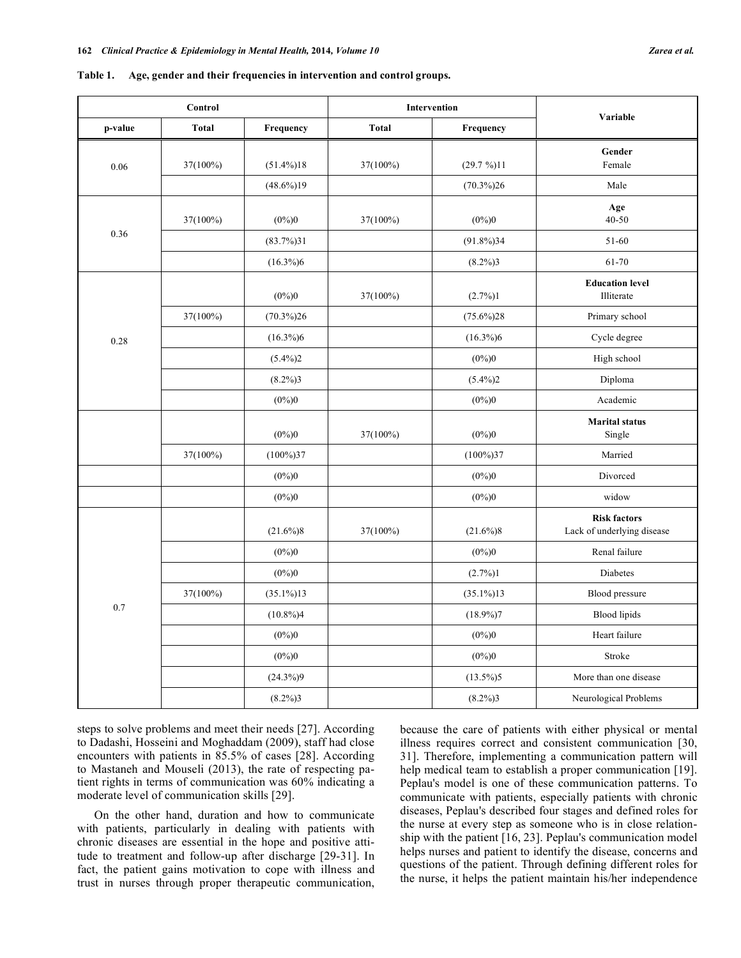|         | Control      |               | Intervention              |              | Variable                                          |  |
|---------|--------------|---------------|---------------------------|--------------|---------------------------------------------------|--|
| p-value | <b>Total</b> | Frequency     | <b>Total</b><br>Frequency |              |                                                   |  |
| 0.06    | $37(100\%)$  | $(51.4\%)18$  | 37(100%)                  | $(29.7\%)11$ | Gender<br>Female                                  |  |
|         |              | $(48.6\%)$ 19 |                           | $(70.3\%)26$ | Male                                              |  |
|         | 37(100%)     | $(0\%)0$      | 37(100%)                  | $(0\%)0$     | Age<br>40-50                                      |  |
| 0.36    |              | $(83.7\%)31$  |                           | $(91.8\%)34$ | 51-60                                             |  |
|         |              | $(16.3\%)6$   |                           | $(8.2\%)3$   | 61-70                                             |  |
|         |              | $(0\%)0$      | 37(100%)                  | $(2.7\%)1$   | <b>Education level</b><br>Illiterate              |  |
|         | 37(100%)     | $(70.3\%)26$  |                           | $(75.6\%)28$ | Primary school                                    |  |
| 0.28    |              | $(16.3\%)6$   |                           | $(16.3\%)6$  | Cycle degree                                      |  |
|         |              | $(5.4\%)2$    |                           | $(0\%)0$     | High school                                       |  |
|         |              | $(8.2\%)3$    |                           | $(5.4\%)2$   | Diploma                                           |  |
|         |              | $(0\%)0$      |                           | $(0\%)0$     | Academic                                          |  |
|         |              | $(0\%)0$      | 37(100%)                  | $(0\%)0$     | <b>Marital</b> status<br>Single                   |  |
|         | $37(100\%)$  | $(100\%)37$   |                           | $(100\%)37$  | Married                                           |  |
|         |              | $(0\%)0$      |                           | $(0\%)0$     | Divorced                                          |  |
|         |              | $(0\%)0$      |                           | $(0\%)0$     | widow                                             |  |
|         |              | $(21.6\%)8$   | 37(100%)                  | $(21.6\%)8$  | <b>Risk factors</b><br>Lack of underlying disease |  |
|         |              | $(0\%)0$      |                           | $(0\%)0$     | Renal failure                                     |  |
|         |              | $(0\%)0$      |                           | $(2.7\%)1$   | Diabetes                                          |  |
|         | 37(100%)     | $(35.1\%)13$  |                           | $(35.1\%)13$ | Blood pressure                                    |  |
| 0.7     |              | $(10.8\%)4$   |                           | $(18.9\%)7$  | Blood lipids                                      |  |
|         |              | $(0\%)0$      |                           | $(0\%)0$     | Heart failure                                     |  |
|         |              | $(0\%)0$      |                           | $(0\%)0$     | Stroke                                            |  |
|         |              | $(24.3\%)9$   |                           | $(13.5\%)5$  | More than one disease                             |  |
|         |              | $(8.2\%)3$    |                           | $(8.2\%)3$   | Neurological Problems                             |  |

**Table 1. Age, gender and their frequencies in intervention and control groups.**

steps to solve problems and meet their needs [27]. According to Dadashi, Hosseini and Moghaddam (2009), staff had close encounters with patients in 85.5% of cases [28]. According to Mastaneh and Mouseli (2013), the rate of respecting patient rights in terms of communication was 60% indicating a moderate level of communication skills [29].

On the other hand, duration and how to communicate with patients, particularly in dealing with patients with chronic diseases are essential in the hope and positive attitude to treatment and follow-up after discharge [29-31]. In fact, the patient gains motivation to cope with illness and trust in nurses through proper therapeutic communication,

because the care of patients with either physical or mental illness requires correct and consistent communication [30, 31]. Therefore, implementing a communication pattern will help medical team to establish a proper communication [19]. Peplau's model is one of these communication patterns. To communicate with patients, especially patients with chronic diseases, Peplau's described four stages and defined roles for the nurse at every step as someone who is in close relationship with the patient [16, 23]. Peplau's communication model helps nurses and patient to identify the disease, concerns and questions of the patient. Through defining different roles for the nurse, it helps the patient maintain his/her independence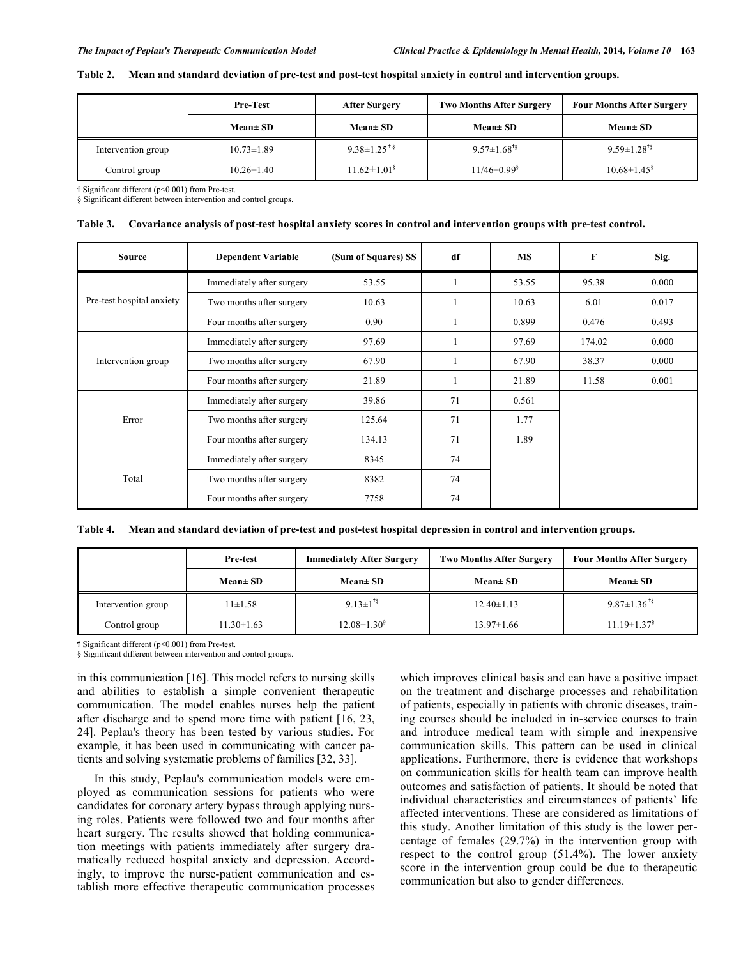| Table 2. Mean and standard deviation of pre-test and post-test hospital anxiety in control and intervention groups. |  |  |
|---------------------------------------------------------------------------------------------------------------------|--|--|
|                                                                                                                     |  |  |

|                    | <b>Pre-Test</b>  | <b>After Surgery</b>          | <b>Two Months After Surgery</b> | <b>Four Months After Surgery</b> |  |
|--------------------|------------------|-------------------------------|---------------------------------|----------------------------------|--|
|                    | $Mean \pm SD$    | $Mean \pm SD$                 | $Mean \pm SD$                   | $Mean \pm SD$                    |  |
| Intervention group | $10.73 \pm 1.89$ | $9.38 \pm 1.25$ <sup>t§</sup> | $9.57 \pm 1.68$ <sup>t§</sup>   | $9.59 \pm 1.28$ <sup>t§</sup>    |  |
| Control group      | $10.26 \pm 1.40$ | $11.62 \pm 1.01^8$            | $11/46 \pm 0.99$ <sup>§</sup>   | $10.68 \pm 1.45$                 |  |

Significant different (p<0.001) from Pre-test.

§ Significant different between intervention and control groups.

|  | Table 3. Covariance analysis of post-test hospital anxiety scores in control and intervention groups with pre-test control. |  |  |
|--|-----------------------------------------------------------------------------------------------------------------------------|--|--|
|  |                                                                                                                             |  |  |

| <b>Source</b>             | <b>Dependent Variable</b> | (Sum of Squares) SS | df | <b>MS</b> | $\mathbf{F}$ | Sig.  |
|---------------------------|---------------------------|---------------------|----|-----------|--------------|-------|
|                           | Immediately after surgery | 53.55               |    | 53.55     | 95.38        | 0.000 |
| Pre-test hospital anxiety | Two months after surgery  | 10.63               |    | 10.63     | 6.01         | 0.017 |
|                           | Four months after surgery | 0.90                |    | 0.899     | 0.476        | 0.493 |
|                           | Immediately after surgery | 97.69               |    | 97.69     | 174.02       | 0.000 |
| Intervention group        | Two months after surgery  | 67.90               |    | 67.90     | 38.37        | 0.000 |
|                           | Four months after surgery | 21.89               |    | 21.89     | 11.58        | 0.001 |
|                           | Immediately after surgery | 39.86               | 71 | 0.561     |              |       |
| Error                     | Two months after surgery  | 125.64              | 71 | 1.77      |              |       |
|                           | Four months after surgery | 134.13              | 71 | 1.89      |              |       |
| Total                     | Immediately after surgery | 8345                | 74 |           |              |       |
|                           | Two months after surgery  | 8382                | 74 |           |              |       |
|                           | Four months after surgery | 7758                | 74 |           |              |       |

**Table 4. Mean and standard deviation of pre-test and post-test hospital depression in control and intervention groups.** 

| Pre-test           |                  | <b>Immediately After Surgery</b> | <b>Two Months After Surgery</b> | <b>Four Months After Surgery</b> |  |
|--------------------|------------------|----------------------------------|---------------------------------|----------------------------------|--|
|                    | $Mean \pm SD$    | $Mean \pm SD$                    | $Mean \pm SD$                   | $Mean \pm SD$                    |  |
| Intervention group | $11\pm1.58$      | 9.13 $\pm$ 1 <sup>t§</sup>       | $12.40 \pm 1.13$                | $9.87 \pm 1.36$ <sup>t§</sup>    |  |
| Control group      | $11.30 \pm 1.63$ | $12.08 \pm 1.30^8$               | $13.97 \pm 1.66$                | $11.19 \pm 1.37$ <sup>§</sup>    |  |

Significant different (p<0.001) from Pre-test.

§ Significant different between intervention and control groups.

in this communication [16]. This model refers to nursing skills and abilities to establish a simple convenient therapeutic communication. The model enables nurses help the patient after discharge and to spend more time with patient [16, 23, 24]. Peplau's theory has been tested by various studies. For example, it has been used in communicating with cancer patients and solving systematic problems of families [32, 33].

In this study, Peplau's communication models were employed as communication sessions for patients who were candidates for coronary artery bypass through applying nursing roles. Patients were followed two and four months after heart surgery. The results showed that holding communication meetings with patients immediately after surgery dramatically reduced hospital anxiety and depression. Accordingly, to improve the nurse-patient communication and establish more effective therapeutic communication processes which improves clinical basis and can have a positive impact on the treatment and discharge processes and rehabilitation of patients, especially in patients with chronic diseases, training courses should be included in in-service courses to train and introduce medical team with simple and inexpensive communication skills. This pattern can be used in clinical applications. Furthermore, there is evidence that workshops on communication skills for health team can improve health outcomes and satisfaction of patients. It should be noted that individual characteristics and circumstances of patients' life affected interventions. These are considered as limitations of this study. Another limitation of this study is the lower percentage of females (29.7%) in the intervention group with respect to the control group (51.4%). The lower anxiety score in the intervention group could be due to therapeutic communication but also to gender differences.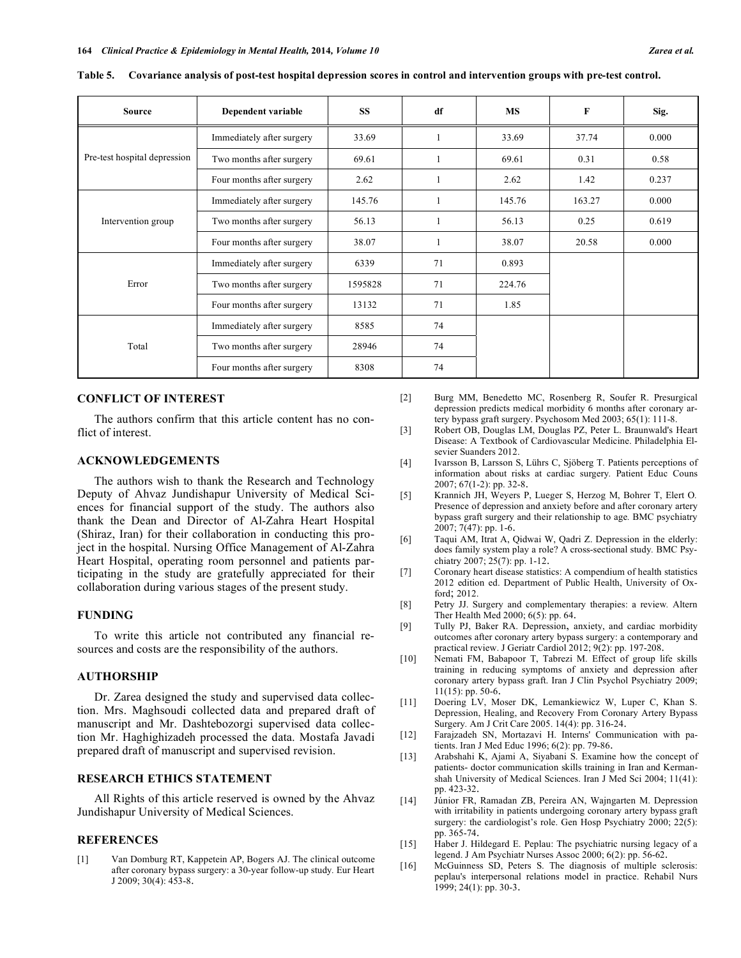| <b>Source</b>                | Dependent variable        | <b>SS</b> | df | <b>MS</b> | F      | Sig.  |
|------------------------------|---------------------------|-----------|----|-----------|--------|-------|
|                              | Immediately after surgery | 33.69     |    | 33.69     | 37.74  | 0.000 |
| Pre-test hospital depression | Two months after surgery  | 69.61     |    | 69.61     | 0.31   | 0.58  |
|                              | Four months after surgery | 2.62      |    | 2.62      | 1.42   | 0.237 |
|                              | Immediately after surgery | 145.76    |    | 145.76    | 163.27 | 0.000 |
| Intervention group           | Two months after surgery  | 56.13     |    | 56.13     | 0.25   | 0.619 |
|                              | Four months after surgery | 38.07     |    | 38.07     | 20.58  | 0.000 |
|                              | Immediately after surgery | 6339      | 71 | 0.893     |        |       |
| Error                        | Two months after surgery  | 1595828   | 71 | 224.76    |        |       |
|                              | Four months after surgery | 13132     | 71 | 1.85      |        |       |
|                              | Immediately after surgery | 8585      | 74 |           |        |       |
| Total                        | Two months after surgery  | 28946     | 74 |           |        |       |
|                              | Four months after surgery | 8308      | 74 |           |        |       |

**Table 5. Covariance analysis of post-test hospital depression scores in control and intervention groups with pre-test control.**

# **CONFLICT OF INTEREST**

The authors confirm that this article content has no conflict of interest.

# **ACKNOWLEDGEMENTS**

The authors wish to thank the Research and Technology Deputy of Ahvaz Jundishapur University of Medical Sciences for financial support of the study. The authors also thank the Dean and Director of Al-Zahra Heart Hospital (Shiraz, Iran) for their collaboration in conducting this project in the hospital. Nursing Office Management of Al-Zahra Heart Hospital, operating room personnel and patients participating in the study are gratefully appreciated for their collaboration during various stages of the present study.

# **FUNDING**

To write this article not contributed any financial resources and costs are the responsibility of the authors.

# **AUTHORSHIP**

Dr. Zarea designed the study and supervised data collection. Mrs. Maghsoudi collected data and prepared draft of manuscript and Mr. Dashtebozorgi supervised data collection Mr. Haghighizadeh processed the data. Mostafa Javadi prepared draft of manuscript and supervised revision.

# **RESEARCH ETHICS STATEMENT**

All Rights of this article reserved is owned by the Ahvaz Jundishapur University of Medical Sciences.

# **REFERENCES**

[1] Van Domburg RT, Kappetein AP, Bogers AJ. The clinical outcome after coronary bypass surgery: a 30-year follow-up study*.* Eur Heart J 2009; 30(4): 453-8.

- [2] Burg MM, Benedetto MC, Rosenberg R, Soufer R. Presurgical depression predicts medical morbidity 6 months after coronary artery bypass graft surgery. Psychosom Med 2003; 65(1): 111-8.
- [3] Robert OB, Douglas LM, Douglas PZ, Peter L. Braunwald's Heart Disease: A Textbook of Cardiovascular Medicine. Philadelphia Elsevier Suanders 2012.
- [4] Ivarsson B, Larsson S, Lührs C, Sjöberg T. Patients perceptions of information about risks at cardiac surgery*.* Patient Educ Couns 2007; 67(1-2): pp. 32-8. [5] Krannich JH, Weyers P, Lueger S, Herzog M, Bohrer T, Elert O*.*
- Presence of depression and anxiety before and after coronary artery bypass graft surgery and their relationship to age*.* BMC psychiatry 2007; 7(47): pp. 1-6.<br>
[6] Taqui AM, Itrat A, Qidwai W, Qadri Z. Depression in the elderly:
- does family system play a role? A cross-sectional study*.* BMC Psychiatry 2007; 25(7): pp. 1-12.<br>[7] Coronary heart disease statistics: A compendium of health statistics
- 2012 edition ed. Department of Public Health, University of Oxford; 2012.
- [8] Petry JJ. Surgery and complementary therapies: a review*.* Altern
- Ther Health Med 2000; 6(5): pp. 64.<br>[9] Tully PJ, Baker RA. Depression, anxiety, and cardiac morbidity outcomes after coronary artery bypass surgery: a contemporary and
- practical review. J Geriatr Cardiol 2012; 9(2): pp. 197-208. [10] Nemati FM, Babapoor T, Tabrezi M. Effect of group life skills training in reducing symptoms of anxiety and depression after coronary artery bypass graft. Iran J Clin Psychol Psychiatry 2009; 11(15): pp. 50-6. [11] Doering LV, Moser DK, Lemankiewicz W, Luper C, Khan S.
- Depression, Healing, and Recovery From Coronary Artery Bypass Surgery. Am J Crit Care 2005. 14(4): pp. 316-24.<br>[12] Farajzadeh SN, Mortazavi H. Interns' Communication with pa-
- tients. Iran J Med Educ 1996; 6(2): pp. 79-86. [13] Arabshahi K, Ajami A, Siyabani S. Examine how the concept of
- patients- doctor communication skills training in Iran and Kermanshah University of Medical Sciences. Iran J Med Sci 2004; 11(41): pp. 423-32. [14] Júnior FR, Ramadan ZB, Pereira AN, Wajngarten M. Depression
- with irritability in patients undergoing coronary artery bypass graft surgery: the cardiologist's role. Gen Hosp Psychiatry 2000; 22(5): pp. 365-74. [15] Haber J. Hildegard E. Peplau: The psychiatric nursing legacy of a
- legend. J Am Psychiatr Nurses Assoc 2000; 6(2): pp. 56-62.<br>[16] McGuinness SD, Peters S. The diagnosis of multiple sclerosis:
- peplau's interpersonal relations model in practice. Rehabil Nurs 1999; 24(1): pp. 30-3.